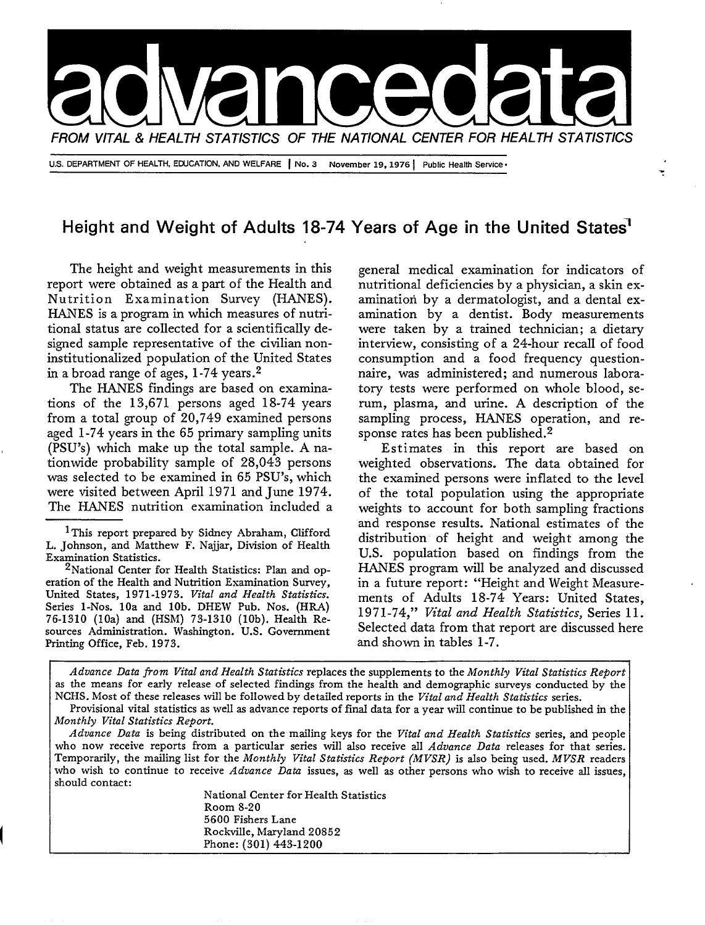

## **Height and Weight of Adults 18-74 Years of Age in the United States'**

The height and weight measurements in this report were obtained as a part of the Health and Nutrition Examination Survey (HANES). HANES is a program in which measures of nutritional status are collected for a scientifically designed sample representative of the civilian noninstitutionalized population of the United States in a broad range of ages,  $1-74$  years.<sup>2</sup>

The HANES findings are based on examinations of the 13,671 persons aged 18-74 years from a total group of 20,749 examined persons aged 1-74 years in the 65 primary sampling units (PSU'S) which make up the total sample. A nationwide probability sample of 28,043 persons was selected to be examined in 65 PSU'S, which were visited between April 1971 and June 1974. The HANES nutrition examination included a

<sup>1</sup>This report prepared by Sidney Abraham, Clifford L. Johnson, and Matthew F. Najjar, Division of Health Examination Statistics.

<sup>2</sup>National Center for Health Statistics: Plan and operation of the Health and Nutrition Examination Survey, United States, 1971-1973. Vital and Health Statistics. Series I-Nos. 10a and 10b. DHEW Pub. Nos. (HRA) 76-1310 (lOa) and (HShl) 73-1310 (lOb). Health Resources Administration. Washington. U.S. Government Printing Office, Feb. 1973.

generaI medical examination for indicators of nutritional deficiencies by a physician, a skin examination by a dermatologist, and a dental examination by a dentist. Body measurements were taken by a trained technician; a dietary interview, consisting of a 24-hour recall of food consumption and a food frequency questionnaire, was administered; and numerous Laboratory tests were performed on whole bIood, serum, pIasma, and urine. A description of the sampling process, HANES operation, and response rates has been published.<sup>2</sup>

Estimates in this report are based on weighted observations. The data obtained for the examined persons were inflated to the level of the total population using the appropriate weights to account for both sampling fractions and response results. National estimates of the distribution of height and weight among the U.S. population based on findings from the HANES program will be anaIyzed and discussed in a future report: "Height and Weight Measurements of Adults 18-74 Years: United States, 1971 -74," *Vital and Health Statistics, Series* 11. Selected data from that report are discussed here and shown in tables 1-7.

*Advance Data from Vital and Health StatL-tics* replaces the supplements to the *Monthly Vital Statistics Report as the* means for early release of selected findings from the health and demographic surveys conducted by the NCHS. Most of these releases will be followed by detailed reports in the Vital and Health Statistics series.

Provisional vital statistics as well as advance reports of final data for a year will continue to be published in the *Monthly Vital Statistics Report.* 

*Advance Data is* being distributed on the mailing keys for the *Vital and Health Statistics series,* and people who now receive reports from a particular series will also receive all *Advance Data* releases for that series. Temporarily, the mailing list for the *Monthly Vital Statistics Report (MVSR)* is also being used. *M VSR* readers who wish to continue to receive *Advance Data* issues, as well as other persons who wish to receive all issues, should contact:

National Center for Heakh Statistics Room 8-20 5600 Fishers Lane Rockville, Maryland 20852 Phone: (301) 443-1200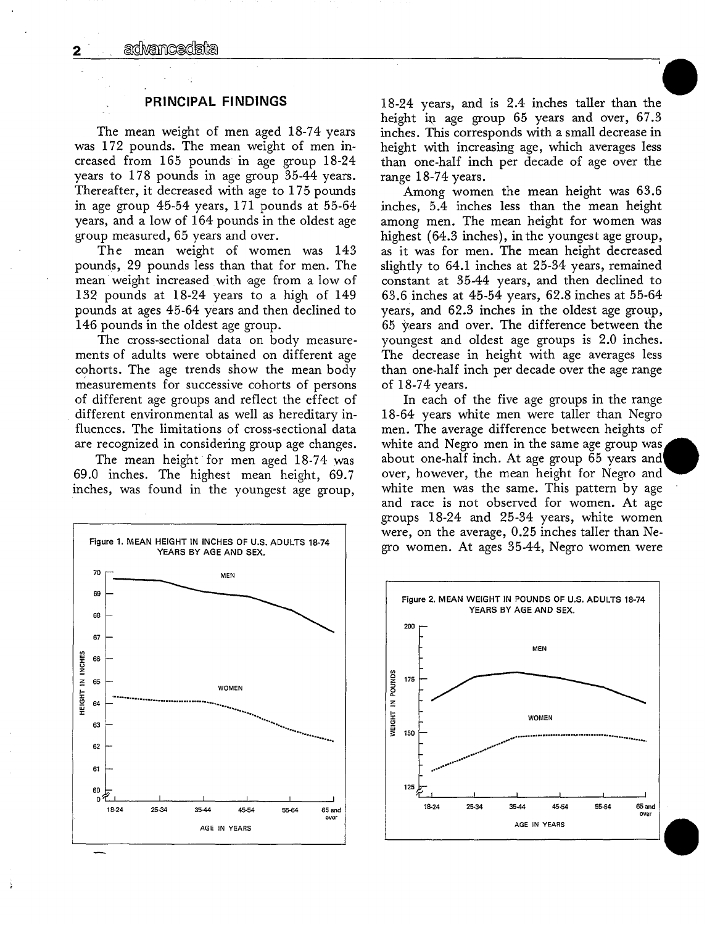## **PRINCIPAL FINDINGS**

The mean weight of men aged 18-74 years was 172 pounds. The mean weight of men increased from 165 pounds in age group 18-24 years to 178 pounds in age group 35-44 years. Thereafter, it decreased with age to 175 pounds in age group 45-54 years, 171 pounds at 55-64 years, and a low of 164 pounds in the oldest age group measured, 65 years and over.

The mean weight of women was 143 pounds, 29 pounds less than that for men. The mean weight increased with age from a low of 132 pounds at 18-24 years to a high of 149 pounds at ages 45-64 years and then declined to 146 pounds in the oldest age group.

The cross-sectional data on body measurements of adults were obtained on different age cohorts. The age trends show the mean body measurements for successive cohorts of persons of different age groups and reflect the effect of different environmental as well as hereditary influences. The limitations of cross-sectional data are recognized in considering group age changes.

The mean height for men aged 18-74 was 69.0 inches. The highest mean height, 69.7 inches, was found in the youngest age group,



18-24 years, and is 2.4 inches taller than the height in age group 65 years and over, 67.3 inches. This corresponds with a small decrease in height with increasing age, which averages less than one-half inch per decade of age over the range 18-74 years.

Among women the mean height was 63.6 inches, 5.4 inches less than the mean height among men. The mean height for women was highest (64.3 inches), in the youngest age group, as it was for men. The mean height decreased slightly to 64.1 inches at 25-34 years, remained constant at 35-44 years, and then declined to 63.6 inches at 45-54 years, 62.8 inches at 55-64 vears, and 62.3 inches in the oldest age group, 65 years and over. The difference between the youngest and oldest age groups is 2.0 inches. The decrease in height with age averages less than one-half inch per decade over the age range of 18-74 years.

In each of the five age groups in the range 18-64 years white men were taller than Negro men. The average difference between heights of white and Negro men in the same age group was about one-half inch. At age group 65 years and over, however, the mean height for Negro and white men was the same. This pattern by age and race is not observed for women. At age groups 18-24 and 25-34 years, white women were, on the average, 0.25 inches taller than Negro women. At ages 35-44, Negro women were



 $\overline{2}$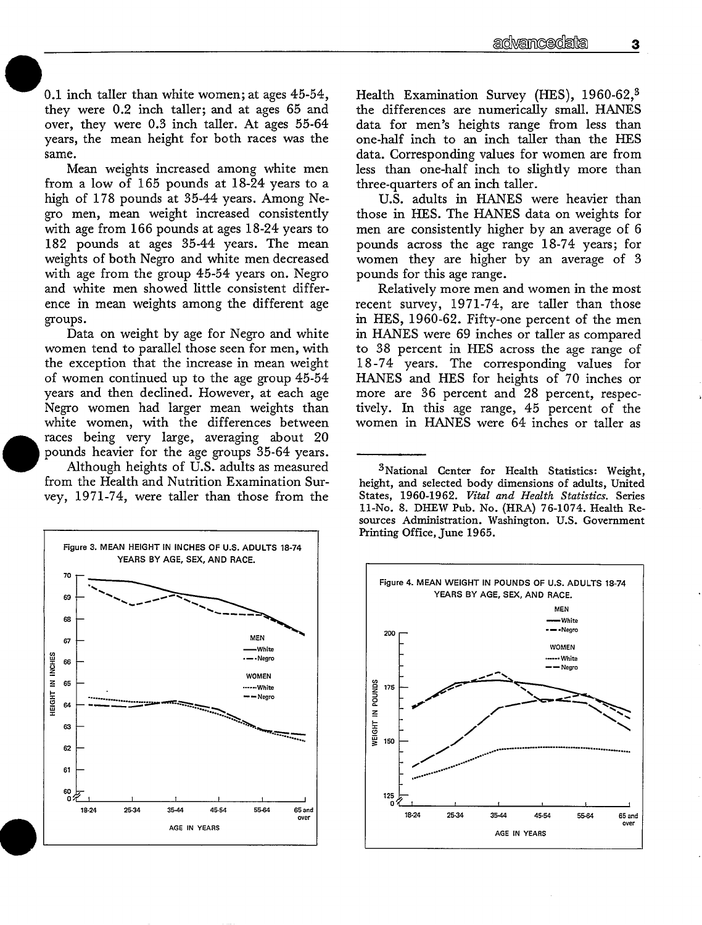0.1 inch taller than white women; at ages 45-54, they were 0.2 inch taller; and at ages 65 and over, they were 0.3 inch taller. At ages 55-64 years, the mean height for both races was the same.

Mean weights increased among white men from a low of 165 pounds at  $18-24$  years to a high of 178 pounds at 35-44 years. Among Negro men, mean weight increased consistently with age from 166 pounds at ages 18-24 years to 182 pounds at ages 35-44 years. The mean weights of both Negro and white men decreased with age from the group 45-54 years on. Negro and white men showed little consistent difference in mean weights among the different age groups.

Data on weight by age for Negro and white women tend to parallel those seen for men, with the exception that the increase in mean weight of women continued up to the age group 45-54 years and then declined. However, at each age Negro women had larger mean weights than white women, with the differences between races being very large, averaging about 20 pounds heavier for the age groups 35-64 years.

Although heights of U.S. adults as measured from the Health and Nutrition Examination Survey, 1971-74, were taller than those from the



Health Examination Survey (HES), 1960-62,<sup>3</sup> the differences are numerically small. HANES data for men's heights range from less than one-half inch to an inch taller than the HES data. Corresponding values for women are from less than one-half inch to slightly more than three-quarters of an inch taller.

U.S. adults in HANES were heavier than those in HES. The HANES data on weights for men are consistently higher by an average of 6 pounds across the age range 18-74 years; for women they are higher by an average of 3 pounds for this age range.

Relatively more men and women in the most recent survey, 1971-74, are taller than those in HES, 1960-62. Fifty-one percent of the men in HANES were 69 inches or taller as compared to 38 percent in HES across the age range of 18-74 years. The corresponding values for HANES and HES for heights of 70 inches or more are 36 percent and 28 percent, respectively. In this age range, 45 percent of the women in HANES were 64 inches or taller as

<sup>3</sup>National Center for Health Statistics: Weight, height, and selected body dimensions of adults, United States, 1960-1962. Vital and Health Statistics. Series 11-No. 8. DHEW Pub. No. (HRA) 76-1074. Health Resources Administration. Washington. U.S. Government Printing Office, June 1965.

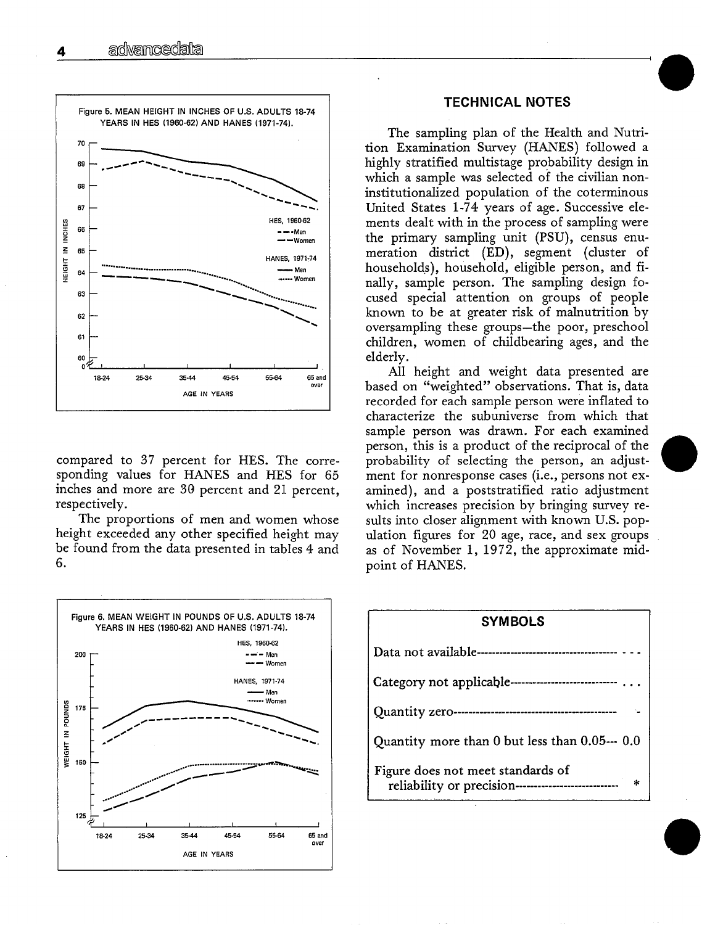

compared to 37 percent for HES. The corresponding values for HANES and HES for 65 inches and more are 30 percent and 21 percent, respectively.

The proportions of men and women whose height exceeded any other specified height may be found from the data presented in tables 4 and 6.



## **TECHNICAL NOTES**

The sampling plan of the Health and Nutrition Examination Survey (HANES) followed a highly stratified multistage probability design in which a sample was selected of the civilian noninstitutionalized population of the coterminous United States 1-74 years of age. Successive elements dealt with in the process of sampling were the primary sampling unit (PSU), census enumeration district (ED), segment (cluster of households), household, eligible person, and finally, sample person. The sampling design focused special attention on groups of people known to be at greater risk of malnutrition by oversampling these groups-the poor, preschool children, women of childbearing ages, and the elderly.

All height and weight data presented are based on "weighted" observations. That is, data recorded for each sample person were inflated to characterize the subuniverse from which that sample person was drawn. For each examined person, this is a product of the reciprocal of the probability of selecting the person, an adjustment for nonresponse cases (i.e., persons not examined), and a poststratified ratio adjustment which increases precision by bringing survey results into closer alignment with known U.S. population figures for 20 age, race, and sex groups as of November 1, 1972, the approximate midpoint of HANES.

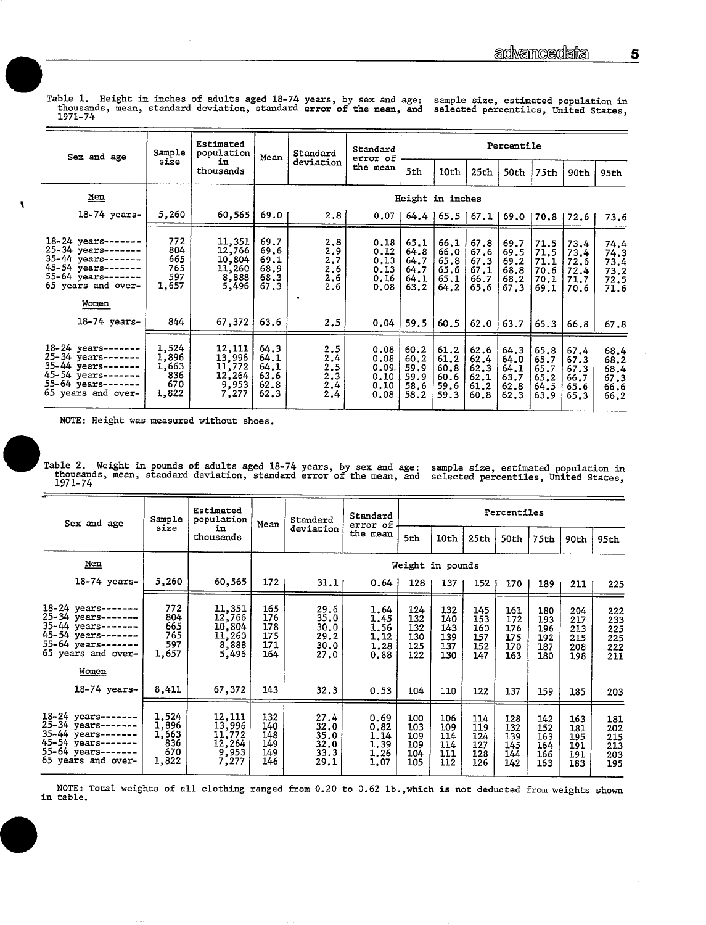Table 1. Height in inches of adults aged 18-74 years, by sex and age: sample size, estimated population in thousands, mean, standard deviation, standard error of the mean, and selected percentiles, United States, 1971-74

| Sex and age                                                                                                                           | Sample                                         | Estimated<br>population                                | Mean                                         | Standard                                      | Standard<br>error of                          | Percentile                                   |                                              |                                              |                                              |                                              |                                              |                                              |  |
|---------------------------------------------------------------------------------------------------------------------------------------|------------------------------------------------|--------------------------------------------------------|----------------------------------------------|-----------------------------------------------|-----------------------------------------------|----------------------------------------------|----------------------------------------------|----------------------------------------------|----------------------------------------------|----------------------------------------------|----------------------------------------------|----------------------------------------------|--|
|                                                                                                                                       | size                                           | in<br>thousands                                        |                                              | deviation                                     | the mean                                      | 5th                                          | 10th                                         | 25th                                         | 50th                                         | 75th                                         | 90th                                         | 95th                                         |  |
| Men                                                                                                                                   |                                                |                                                        |                                              |                                               |                                               | Height in inches                             |                                              |                                              |                                              |                                              |                                              |                                              |  |
| $18-74$ years-                                                                                                                        | 5,260                                          | 60,565                                                 | 69.0                                         | 2.8                                           | 0.071                                         |                                              |                                              |                                              | 64.4   65.5   67.1   69.0   70.8   72.6      |                                              |                                              | 73.6                                         |  |
| 18-24 years --<br>25-34 years-------<br>35-44 years-------<br>45-54 years-------<br>55-64 years-------<br>65 years and over-<br>Women | 772<br>804<br>665<br>765<br>597<br>1,657       | 11,351<br>12,766<br>10,804<br>11,260<br>8,888<br>5,496 | 69.7<br>69.6<br>69.1<br>68.9<br>68.3<br>67.3 | 2.8<br>2.9<br>2.7<br>2.6<br>$\frac{2.6}{2.6}$ | 0.18<br>0.12<br>0.13<br>0.13<br>0.16<br>0.08  | 65.1<br>64.8<br>64.7<br>64.7<br>64.1<br>63.2 | 66.1<br>66.0<br>65.8<br>65.6<br>65.1<br>64.2 | 67.8<br>67.6<br>67.3<br>67.1<br>66.7<br>65.6 | 69.7<br>69.5<br>69.2<br>68.8<br>68.2<br>67.3 | 71.5<br>71.5<br>71.1<br>70.6<br>70.1<br>69.1 | 73.4<br>73.4<br>72.6<br>72.4<br>71.7<br>70.6 | 74.4<br>74.3<br>73.4<br>73.2<br>72.5<br>71.6 |  |
| 18-74 years-                                                                                                                          | 844                                            | 67,372                                                 | 63.6                                         | 2.5                                           | 0.04                                          | 59.5                                         | 60.5                                         | 62.0                                         | 63.7                                         | 65.3                                         | 66.8                                         | 67.8                                         |  |
| 18-24 years-<br>25-34 years-------<br>35-44 years -------<br>45-54 years --<br>55-64 years --<br>65 years and over-                   | 1,524<br>1,896<br>1,663<br>836<br>670<br>1,822 | 12,111<br>13,996<br>11,772<br>12,264<br>9,953<br>7,277 | 64.3<br>64.1<br>64.1<br>63.6<br>62.8<br>62.3 | 2.5<br>2.4<br>2.5<br>2.3<br>2.4<br>2.4        | 0.08<br>0.08<br>0.09.<br>0.10<br>0.10<br>0.08 | 60.2<br>60.2<br>59.9<br>59.9<br>58.6<br>58.2 | 61,2<br>61.2<br>60.8<br>60.6<br>59.6<br>59.3 | 62.6<br>62.4<br>62.3<br>62.1<br>61.2<br>60.8 | 64.3<br>64.0<br>64.1<br>63.7<br>62.8<br>62.3 | 65.8<br>65.7<br>65.7<br>65.2<br>64.5<br>63.9 | 67.4<br>67.3<br>67.3<br>66.7<br>65.6<br>65.3 | 68.4<br>68.2<br>68.4<br>67.3<br>66.6<br>66.2 |  |

NOTE: Height was measured without shoes.

۹

Table 2. Weight in pounds of adults aged 18-74 years, by sex and age:<br>thousands, mean, standard deviation, standard error of the mean, and<br>1071 74 sample size, estimated population in<br>selected percentiles, United States, 1971-74

| Sex and age                                                                                                 | Sample                                         | Estimated<br>population                                | Mean                                   | Standard                                     | Standard<br>error of                         | Percentiles                            |                                        |                                        |                                        |                                        |                                        |                                        |  |
|-------------------------------------------------------------------------------------------------------------|------------------------------------------------|--------------------------------------------------------|----------------------------------------|----------------------------------------------|----------------------------------------------|----------------------------------------|----------------------------------------|----------------------------------------|----------------------------------------|----------------------------------------|----------------------------------------|----------------------------------------|--|
|                                                                                                             | size                                           | in<br>thousands                                        |                                        | deviation                                    | the mean                                     | 5th                                    | 10th                                   | 25th                                   | 50th                                   | 75th                                   | 90th                                   | 95th                                   |  |
| Men                                                                                                         |                                                |                                                        |                                        |                                              |                                              | Weight in pounds                       |                                        |                                        |                                        |                                        |                                        |                                        |  |
| $18-74$ years-                                                                                              | 5,260                                          | 60,565                                                 | 172                                    | 31.11                                        | 0.64                                         | 128                                    | 137                                    | 152                                    | 170                                    | 189                                    | 211                                    | 225                                    |  |
| 18-24 years-<br>25-34 years-<br>35-44 years-------<br>45-54 years-<br>55-64 years ---<br>65 years and over- | 772<br>804<br>665<br>765<br>597<br>1,657       | 11,351<br>12,766<br>10,804<br>11,260<br>8,888<br>5,496 | 165<br>176<br>178<br>175<br>171<br>164 | 29.6<br>35.0<br>30.0<br>29.2<br>30.0<br>27.0 | 1.64<br>1.45<br>1.56<br>1.12<br>1.28<br>0.88 | 124<br>132<br>132<br>130<br>125<br>122 | 132<br>140<br>143<br>139<br>137<br>130 | 145<br>153<br>160<br>157<br>152<br>147 | 161<br>172<br>176<br>175<br>170<br>163 | 180<br>193<br>196<br>192<br>187<br>180 | 204<br>217<br>213<br>215<br>208<br>198 | 222<br>233<br>225<br>225<br>222<br>211 |  |
| Women<br>18-74 years-                                                                                       | 8,411                                          | 67,372                                                 | 143                                    | 32.3                                         | 0.53                                         | 104                                    | 110                                    | 122                                    | 137                                    | 159                                    | 185                                    | 203                                    |  |
| $18-24$ years-<br>25-34 years-<br>35-44 years-<br>45-54 years-------<br>55-64 years-<br>65 years and over-  | 1,524<br>1,896<br>1,663<br>836<br>670<br>1,822 | 12,111<br>13,996<br>11,772<br>12,264<br>9,953<br>7,277 | 132<br>140<br>148<br>149<br>149<br>146 | 27.4<br>32.0<br>35.0<br>32.0<br>33.3<br>29.1 | 0.69<br>0.82<br>1.14<br>1.39<br>1.26<br>1,07 | 100<br>103<br>109<br>109<br>104<br>105 | 106<br>109<br>114<br>114<br>111<br>112 | 114<br>119<br>124<br>127<br>128<br>126 | 128<br>132<br>139<br>145<br>144<br>142 | 142<br>152<br>163<br>164<br>166<br>163 | 163<br>181<br>195<br>191<br>191<br>183 | 181<br>202<br>215<br>213<br>203<br>195 |  |

NOTE: Total weights of all clothing ranged from 0.20 to 0.62 lb., which is not deducted from weights shown in table.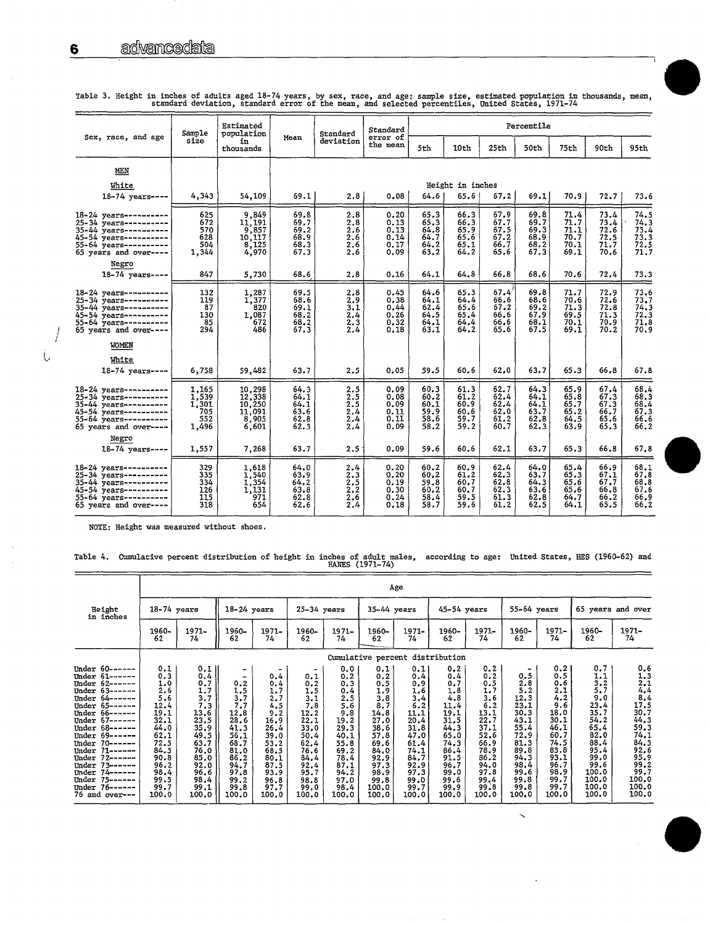|                                                                                                                                                                      | Sample                                         | Estimated<br>population                                |                                                  | Standard                                      | Standard                                     |                                                     |                                              |                                                  | Percentile                                   |                                                  |                                              |                                                           |
|----------------------------------------------------------------------------------------------------------------------------------------------------------------------|------------------------------------------------|--------------------------------------------------------|--------------------------------------------------|-----------------------------------------------|----------------------------------------------|-----------------------------------------------------|----------------------------------------------|--------------------------------------------------|----------------------------------------------|--------------------------------------------------|----------------------------------------------|-----------------------------------------------------------|
| Sex, race, and age                                                                                                                                                   | size                                           | in<br>thousands                                        | Mean                                             | deviation                                     | error of<br>the mean                         | 5th                                                 | 10th                                         | 25th                                             | 50th                                         | 75th                                             | 90th                                         | 95th                                                      |
| MEN                                                                                                                                                                  |                                                |                                                        |                                                  |                                               |                                              |                                                     |                                              |                                                  |                                              |                                                  |                                              |                                                           |
| White                                                                                                                                                                |                                                |                                                        |                                                  |                                               |                                              |                                                     | Height in inches                             |                                                  |                                              |                                                  |                                              |                                                           |
| $18 - 74$ years ---                                                                                                                                                  | 4,343                                          | 54,109                                                 | 69.1                                             | 2.8                                           | 0.08                                         | 64.6                                                | 65.6                                         | 67.2                                             | 69.1                                         | 70.9                                             | 72.7                                         | 73.6                                                      |
| $18 - 24$ years----------<br>25-34 years----------<br>$35 - 44$ years----------<br>45-54 years----------<br>55-64 years----------<br>65 years and over ----<br>Negro | 625<br>672<br>570<br>628<br>504<br>1,344       | 9,849<br>11,191<br>9,857<br>10,117<br>8,125<br>4,970   | 69.8<br>69.7<br>$69.2$<br>$68.9$<br>68.3<br>67.3 | 2.8<br>2.8<br>$\frac{2.6}{2.6}$<br>2.6<br>2.6 | 0.20<br>0.13<br>0.13<br>0.14<br>0.17<br>0.09 | 65.3<br>65.3<br>64.8<br>64.7<br>64.2<br>63.2        | 66.3<br>66.3<br>65.9<br>65.6<br>65.1<br>64.2 | 67.9<br>67.7<br>67.5<br>67.2<br>66.7<br>65.6     | 69.8<br>69.7<br>69.3<br>68.9<br>68.2<br>67.3 | 71.4<br>71.7<br>71.1<br>70.7<br>70.1<br>69.1     | 73.4<br>73.4<br>72.6<br>72.5<br>71.7<br>70.6 | $74.5$<br>$74.3$<br>73.4<br>$73.3$<br>$72.5$<br>$71.7$    |
| 18-74 years ----                                                                                                                                                     | 847                                            | 5,730                                                  | 68.6                                             | 2.8                                           | 0.16                                         | 64.1                                                | 64.8                                         | 66.8                                             | 68.6                                         | 70.6                                             | 72.4                                         | 73.3                                                      |
| 18-24 years----------<br>25-34 years----------<br>35-44 years----------<br>45-54 years---------<br>$55 - 64$ years ---------<br>65 years and over----                | 132<br>119<br>87<br>130<br>85<br>294           | 1,287<br>1,377<br>820<br>1,087<br>672<br>486           | 69.5<br>68.6<br>69.1<br>68.2<br>68.2<br>67.3     | 2.8<br>2.9<br>3.1<br>2,4<br>2.3<br>2.4        | 0.45<br>0.38<br>0.44<br>0.26<br>0.32<br>0.18 | 64.6<br>64.1<br>62.4<br>64.5<br>64.1<br>63.1        | 65.3<br>64.4<br>65.6<br>65.4<br>64.4<br>64.2 | 67.4<br>66.6<br>67.2<br>66.6<br>66.6<br>65.6     | 69.8<br>68.6<br>69.2<br>67.9<br>68.1<br>67.5 | 71.7<br>70.6<br>71.3<br>69.5<br>70.1<br>69.1     | 72.9<br>72.6<br>72.8<br>71.3<br>70.9<br>70.2 | 73.6<br>$73.7$<br>$74.3$<br>$72.3$<br>$\frac{71.8}{70.9}$ |
| WOMEN                                                                                                                                                                |                                                |                                                        |                                                  |                                               |                                              |                                                     |                                              |                                                  |                                              |                                                  |                                              |                                                           |
| White                                                                                                                                                                |                                                |                                                        |                                                  |                                               |                                              |                                                     |                                              |                                                  |                                              |                                                  |                                              |                                                           |
| $18-74$ years----                                                                                                                                                    | 6,758                                          | 59,482                                                 | 63.7                                             | 2.5                                           | 0.05                                         | 59.5                                                | 60.6                                         | 62.0                                             | 63.7                                         | 65.3                                             | 66.8                                         | 67.8                                                      |
| 18-24 years----------<br>25-34 years----------<br>35-44 years----------<br>45-54 years----------<br>$55 - 64$ years----------<br>65 years and over----               | 1,165<br>1.539<br>1,301<br>705<br>552<br>1,496 | 10,298<br>12,338<br>10,250<br>11,091<br>8,905<br>6,601 | 64.3<br>64.1<br>64.1<br>63.6<br>62.8<br>62.3     | 2.5<br>2.5<br>2.5<br>$\frac{2.4}{2.4}$<br>2.4 | 0.09<br>0.08<br>0.09<br>0.11<br>0.11<br>0.09 | 60.3<br>60.2<br>60.1<br>$\frac{59.9}{58.6}$<br>58.2 | 61.3<br>61.2<br>60.9<br>60.6<br>59.7<br>59.2 | 62.7<br>62.4<br>62.4<br>62.0<br>61.2<br>60.7     | 64.3<br>64.1<br>64.1<br>63.7<br>62.8<br>62.3 | 65.9<br>65.8<br>65.7<br>65.2<br>64.5<br>63.9     | 67.4<br>67.3<br>67.3<br>66.7<br>65.6<br>65.3 | 68,4<br>68.3<br>68.4<br>67.3<br>$66.6$<br>$66.2$          |
| Negro<br>18-74 years ----                                                                                                                                            | 1,557                                          | 7,268                                                  | 63.7                                             | 2.5                                           | 0.09                                         | 59.6                                                | 60.6                                         | 62.1                                             | 63.7                                         | 65.3                                             | 66.8                                         | 67.8                                                      |
| 18-24 years----------<br>25-34 years----------<br>35-44 years----------<br>45-54 years ---------<br>55-64 years----------<br>65 years and over----                   | 329<br>335<br>334<br>126<br>115<br>318         | 1,618<br>1,540<br>1,354<br>1,131<br>971<br>654         | 64.0<br>63.9<br>64.2<br>63.8<br>62.8<br>62.6     | 2.4<br>2.3<br>2.5<br>2.2<br>2.6<br>2.4        | 0.20<br>0.20<br>0.19<br>0.30<br>0.24<br>0.18 | 60.2<br>60.2<br>59.8<br>60.2<br>58.4<br>58.7        | 60.9<br>61.2<br>60.7<br>60.7<br>59.5<br>59.6 | $62.4$<br>$62.3$<br>62.8<br>62.3<br>61.3<br>61.2 | 64.0<br>63.7<br>64.3<br>63.6<br>62.8<br>62.5 | $65.4$<br>$65.3$<br>65.6<br>65.6<br>64.7<br>64.1 | 66.9<br>67.1<br>67.7<br>66.8<br>66.2<br>65.5 | 68.1<br>67.8<br>68.8<br>67.6<br>66.966.2                  |

Table 3. Height in inches of adults aged 18-74 years, by sex, race, and age: sample size, estimated population in thousands, mean,<br>standard deviation, standard error of the mean, and selected percentiles, United States, 19

NOTE: Height was measured without shoes.

Table 4. Cumulative percent distribution of height in inches of adult males, according to age: United States, HES (1960-62) and<br>HANES (1971-74)

|                                                                                                                                                                                                                                                                                                                                                                      |                                                                                                                                                 |                                                                                                                                                 |                                                                                                                             |                                                                                                                                   |                                                                                                                                       |                                                                                                                                                |                                                                                                                                          | Age                                                                                                                                     |                                                                                                                                          |                                                                                                                                                        |                                                                                                                                      |                                                                                                                                             |                                                                                                                                                                 |                                                                                                                                                                  |
|----------------------------------------------------------------------------------------------------------------------------------------------------------------------------------------------------------------------------------------------------------------------------------------------------------------------------------------------------------------------|-------------------------------------------------------------------------------------------------------------------------------------------------|-------------------------------------------------------------------------------------------------------------------------------------------------|-----------------------------------------------------------------------------------------------------------------------------|-----------------------------------------------------------------------------------------------------------------------------------|---------------------------------------------------------------------------------------------------------------------------------------|------------------------------------------------------------------------------------------------------------------------------------------------|------------------------------------------------------------------------------------------------------------------------------------------|-----------------------------------------------------------------------------------------------------------------------------------------|------------------------------------------------------------------------------------------------------------------------------------------|--------------------------------------------------------------------------------------------------------------------------------------------------------|--------------------------------------------------------------------------------------------------------------------------------------|---------------------------------------------------------------------------------------------------------------------------------------------|-----------------------------------------------------------------------------------------------------------------------------------------------------------------|------------------------------------------------------------------------------------------------------------------------------------------------------------------|
| Height<br>in inches                                                                                                                                                                                                                                                                                                                                                  | $18-74$ years                                                                                                                                   |                                                                                                                                                 | $18-24$ years                                                                                                               |                                                                                                                                   | $25-34$ years                                                                                                                         |                                                                                                                                                | $35-44$ years                                                                                                                            |                                                                                                                                         | $45 - 54$ years                                                                                                                          |                                                                                                                                                        | 55-64 years                                                                                                                          |                                                                                                                                             | 65 years and over                                                                                                                                               |                                                                                                                                                                  |
|                                                                                                                                                                                                                                                                                                                                                                      | 1960-<br>62                                                                                                                                     | 1971 -<br>74                                                                                                                                    | 1960-<br>62                                                                                                                 | 1971-<br>74                                                                                                                       | 1960-<br>62                                                                                                                           | 1971-<br>74                                                                                                                                    | 1960-<br>62                                                                                                                              | 1971-<br>74                                                                                                                             | 1960-<br>62                                                                                                                              | 1971-<br>74                                                                                                                                            | 1960-<br>62                                                                                                                          | 1971-<br>74                                                                                                                                 | 1960-<br>62                                                                                                                                                     | 1971-<br>74                                                                                                                                                      |
|                                                                                                                                                                                                                                                                                                                                                                      |                                                                                                                                                 |                                                                                                                                                 |                                                                                                                             |                                                                                                                                   |                                                                                                                                       |                                                                                                                                                | Cumulative percent                                                                                                                       |                                                                                                                                         | distribution                                                                                                                             |                                                                                                                                                        |                                                                                                                                      |                                                                                                                                             |                                                                                                                                                                 |                                                                                                                                                                  |
| Under 60-<br>Under 61--<br>----<br>Under $62$ ------<br>Under 63-<br>Under 64-<br>----<br>Under 65-<br>Under 66------<br>Under 67------<br>Under 68 --<br>---<br>Under 69-<br>----<br>$70 -$<br>Under<br>---<br>$71 -$<br>Under<br>----<br>Under 72------<br>$73 - - - - -$<br>Under<br>$74 -$<br>Under<br>Under 75-<br>$- - -$<br>Under 76------<br>76 and over --- | 0.1<br>0.3<br>$\frac{1.0}{2.6}$<br>5.6<br>12.4<br>19.1<br>32.1<br>44.0<br>62.1<br>72.5<br>84.5<br>90.8<br>96.2<br>98.4<br>99.5<br>99.7<br>100.0 | $0.1$<br>0.4<br>0.7<br>1.7<br>3.7<br>$7.3$<br>$13.6$<br>$23.5$<br>35.9<br>49.5<br>63.7<br>76.0<br>85.0<br>92.0<br>96.6<br>98.4<br>99.1<br>100.0 | $0.2$<br>1.5<br>3.7<br>7.7<br>12.8<br>28.6<br>41.3<br>56.1<br>68.7<br>81.0<br>86.2<br>94.7<br>97.8<br>99.2<br>99.8<br>100.0 | 0,4<br>$0.4$<br>1.7<br>2.7<br>4.5<br>9.2<br>16.9<br>26.4<br>39.0<br>53.2<br>68.5<br>80.1<br>87.5<br>93.9<br>96.8<br>97.7<br>100.0 | ۰<br>0.1<br>0.2<br>1.5<br>3.1<br>7.8<br>12.2<br>22.1<br>33.0<br>50.4<br>62.4<br>76.6<br>84.4<br>92.4<br>95.7<br>98.8<br>99.0<br>100.0 | 0.0<br>0, 2<br>0.3<br>0.4<br>2.5<br>$\frac{5.6}{9.8}$<br>19.2<br>29.3<br>40.1<br>55.8<br>69.2<br>78.4<br>87.1<br>94.2<br>97.0<br>98.4<br>100.0 | 0.1<br>0.2<br>0.5<br>1.9<br>3.8<br>8.7<br>14.8<br>27.0<br>38.6<br>57.8<br>69.6<br>84.0<br>92.9<br>97.3<br>98.9<br>99.8<br>100.0<br>100.0 | 0.1<br>0.4<br>0.9<br>1.6<br>3.4<br>6.2<br>11.1<br>20.4<br>31.8<br>47.0<br>61.4<br>74.1<br>84.7<br>92.9<br>97.3<br>99.0<br>99.7<br>100.0 | 0.2<br>0.4<br>0.7<br>1.8<br>4.8<br>11.4<br>19.1<br>31.5<br>44.3<br>65.0<br>74.3<br>86.4<br>91.5<br>96.7<br>99.0<br>99.6<br>99.9<br>100.0 | $0.2$<br>$0.2$<br>$0.5$<br>$1.7$<br>3.6<br>6.2<br>$\frac{13.1}{22.7}$<br>37.1<br>52.6<br>66.9<br>78.9<br>86.2<br>94.0<br>97.8<br>99.4<br>99.8<br>100.0 | $0.5$<br>2.8<br>5.2<br>12.3<br>23.1<br>30.3<br>43.1<br>55.4<br>72.9<br>81.3<br>89.8<br>94.3<br>98.4<br>99.6<br>99.8<br>99.8<br>100.0 | 0.2<br>0.5<br>$0.6$<br>$2.1$<br>4.2<br>9.6<br>18.0<br>30.1<br>46.1<br>60.7<br>74.5<br>83.8<br>93.1<br>96.7<br>98.9<br>99.7<br>99.7<br>100.0 | 0.7<br>$\frac{1}{3}$ , $\frac{1}{2}$<br>5. 7<br>9.0<br>23.4<br>35.7<br>54.2<br>65.4<br>82.0<br>88.4<br>95.4<br>99.0<br>99.6<br>100.0<br>100.0<br>100.0<br>100.0 | $0.6$<br>$1.3$<br>$2.1$<br>$4.4$<br>$\frac{8.4}{17.5}$<br>30.7<br>44.3<br>59.3<br>74.1<br>84.3<br>92.6<br>95.9<br>$\frac{99.2}{99.7}$<br>100.0<br>100.0<br>100.0 |

 $\overline{\phantom{0}}$ 

6

Ü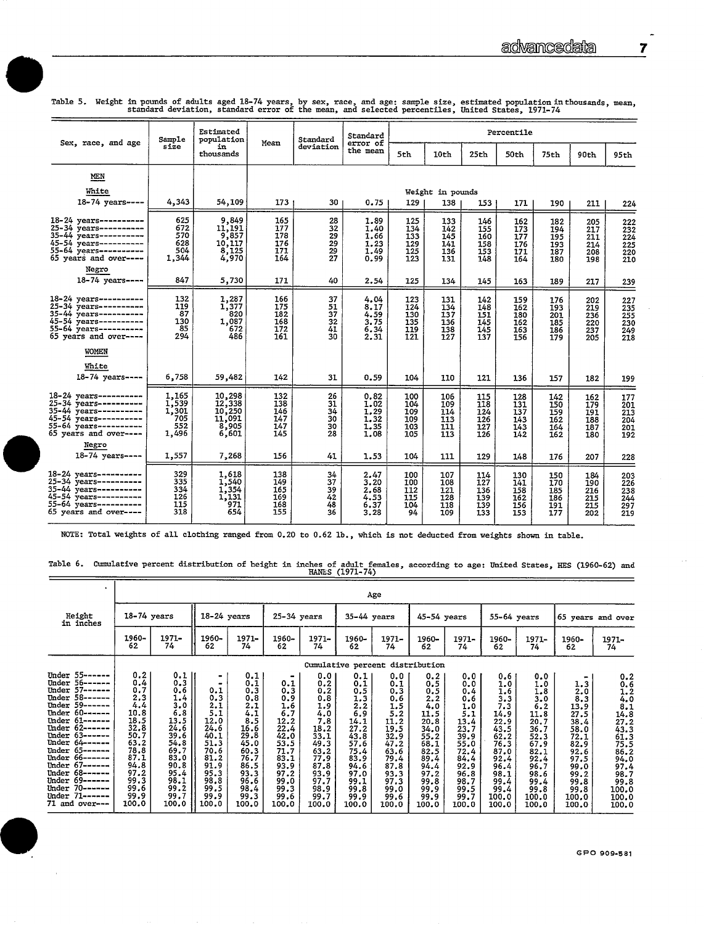|  |  |  |  |  |                                                                                                  | Table 5. Weight in pounds of adults aged 18-74 years, by sex, race, and age: sample size, estimated population inthousands, mean |  |
|--|--|--|--|--|--------------------------------------------------------------------------------------------------|----------------------------------------------------------------------------------------------------------------------------------|--|
|  |  |  |  |  | standard deviation, standard error of the mean, and selected percentiles, United States, 1971-74 |                                                                                                                                  |  |

| Sex, race, and age                                                                                                                                 | Sample                                         | Estimated<br>population                                     | Mean                                                | Standard                                      | Standard<br>error of                         | Percentile                             |                                        |                                        |                                        |                                        |                                        |                                               |  |  |
|----------------------------------------------------------------------------------------------------------------------------------------------------|------------------------------------------------|-------------------------------------------------------------|-----------------------------------------------------|-----------------------------------------------|----------------------------------------------|----------------------------------------|----------------------------------------|----------------------------------------|----------------------------------------|----------------------------------------|----------------------------------------|-----------------------------------------------|--|--|
|                                                                                                                                                    | size                                           | in<br>thousands                                             |                                                     | deviation                                     | the mean                                     | 5th                                    | 10th                                   | 25th                                   | 50th                                   | 75th                                   | 90th                                   | 95th                                          |  |  |
| MEN                                                                                                                                                |                                                |                                                             |                                                     |                                               |                                              |                                        |                                        |                                        |                                        |                                        |                                        |                                               |  |  |
| White                                                                                                                                              |                                                |                                                             |                                                     |                                               |                                              |                                        | Weight in pounds                       |                                        |                                        |                                        |                                        |                                               |  |  |
| $18 - 74$ vears ----                                                                                                                               | 4,343                                          | 54,109                                                      | 173                                                 | 30                                            | 0.75                                         | 129                                    | 138                                    | 1531                                   | 171                                    | 190                                    | 211                                    | 224                                           |  |  |
| 18-24 years----------<br>25-34 years----------<br>35-44 years----------<br>45-54 years----------<br>55-64 years----------<br>65 years and over---- | 625<br>672<br>570<br>628<br>504<br>1,344       | 9,849<br>11,191<br>9,857<br>10.117<br>$\frac{8,125}{4,970}$ | 165<br>177<br>178<br>176<br>171<br>164              | 28<br>$\overline{32}$<br>29<br>29<br>29<br>27 | 1.89<br>1.40<br>1.66<br>1.23<br>1.49<br>0.99 | 125<br>134<br>133<br>129<br>125<br>123 | 133<br>142<br>145<br>141<br>136<br>131 | 146<br>155<br>160<br>158<br>153<br>148 | 162<br>173<br>177<br>176<br>171<br>164 | 182<br>194<br>195<br>193<br>187<br>180 | 205<br>217<br>211<br>214<br>208<br>198 | 222<br>232<br>224<br>225<br>220<br>210        |  |  |
| Negro<br>18-74 years----                                                                                                                           | 847                                            | 5,730                                                       | 171                                                 | 40                                            | 2.54                                         | 125                                    | 134                                    | 145                                    | 163                                    | 189                                    | 217                                    | 239                                           |  |  |
| 18-24 years---------<br>25-34 years---------<br>$35-44$ years----------<br>45-54 years----------<br>55-64 years----------<br>65 years and over---- | 132<br>119<br>87<br>130<br>85<br>294           | 1,287<br>1,377<br>820<br>1,087<br>672<br>486                | 166<br>175<br>182<br>168<br>172<br>161              | 37<br>51<br>$\overline{37}$<br>32<br>41<br>30 | 4.04<br>8.17<br>4.59<br>3.75<br>6.34<br>2.31 | 123<br>124<br>130<br>135<br>119<br>121 | 131<br>134<br>137<br>136<br>138<br>127 | 142<br>148<br>151<br>145<br>145<br>137 | 159<br>162<br>180<br>162<br>163<br>156 | 176<br>193<br>201<br>185<br>186<br>179 | 202<br>219<br>236<br>220<br>237<br>205 | 227<br>235<br>255<br>256<br>230<br>249<br>218 |  |  |
| <b>WOMEN</b><br>White<br>18-74 years ----                                                                                                          | 6,758                                          | 59,482                                                      | 142                                                 | 31                                            | 0.59                                         | 104                                    | 110                                    | 121                                    | 136                                    | 157                                    | 182                                    | 199                                           |  |  |
| 18-24 years----------<br>25-34 years----------<br>35-44 years----------<br>45-54 years----------<br>55-64 years----------<br>65 years and over---- | 1,165<br>1,539<br>1,301<br>705<br>552<br>1,496 | 10,298<br>12,338<br>10,250<br>11,091<br>8,905<br>6,601      | 132<br>138<br>146<br>$\overline{147}$<br>147<br>145 | 26<br>31<br>34<br>30<br>30<br>28              | 0.82<br>1.02<br>1.29<br>1.32<br>1.35<br>1.08 | 100<br>104<br>109<br>109<br>103<br>105 | 106<br>109<br>114<br>113<br>111<br>113 | 115<br>118<br>124<br>126<br>127<br>126 | 128<br>131<br>137<br>143<br>1/3<br>1/2 | 142<br>150<br>159<br>162<br>164<br>162 | 162<br>179<br>191<br>188<br>187<br>180 | 177<br>201<br>213<br>204<br>201<br>192        |  |  |
| Neero<br>18-74 years ----                                                                                                                          | 1,557                                          | 7,268                                                       | 156                                                 | 41                                            | 1.53                                         | 104                                    | 111                                    | 129                                    | 148                                    | 176                                    | 207                                    | 228                                           |  |  |
| 18-24 years----------<br>25-34 years----------<br>35-44 years----------<br>45-54 years----------<br>55-64 years----------<br>65 years and over---- | 329<br>335<br>334<br>126<br>115<br>318         | 1,618<br>1,540<br>1,354<br>1,131<br>971<br>654              | 138<br>149<br>165<br>169<br>168<br>155              | $\frac{34}{37}$<br>39<br>42<br>48<br>36       | 2.47<br>3.20<br>2.68<br>4.53<br>6.37<br>3.28 | 100<br>100<br>112<br>115<br>104<br>94  | 107<br>108<br>121<br>128<br>118<br>109 | 114<br>127<br>136<br>139<br>139<br>133 | 130<br>141<br>158<br>162<br>156<br>153 | 150<br>170<br>185<br>186<br>191<br>177 | 184<br>190<br>216<br>215<br>215<br>202 | 203<br>226<br>238<br>244<br>297<br>219        |  |  |

NOTE: Total weights of all clothing ranged from 0.20 to 0.62 lb., which is not deducted from weights shown in table.

 $\overline{a}$ 

Table 6. Cumulative percent distribution of height in inches of adult females, according to age: United States, HES (1960-62) and HANES (1971-74)

|                                                                                                                                                                                                                                                                                                                                                                                                           |                                                                                                                                          |                                                                                                                                         |                                                                                                                           |                                                                                                                                                                              |                                                                                                                                  |                                                                                                                                         |                                                                                                                                          | Age                                                                                                                                     |                                                                                                                                          |                                                                                                                                         |                                                                                                                                           |                                                                                                                                           |                                                                                                                                           |                                                                                                                                                     |
|-----------------------------------------------------------------------------------------------------------------------------------------------------------------------------------------------------------------------------------------------------------------------------------------------------------------------------------------------------------------------------------------------------------|------------------------------------------------------------------------------------------------------------------------------------------|-----------------------------------------------------------------------------------------------------------------------------------------|---------------------------------------------------------------------------------------------------------------------------|------------------------------------------------------------------------------------------------------------------------------------------------------------------------------|----------------------------------------------------------------------------------------------------------------------------------|-----------------------------------------------------------------------------------------------------------------------------------------|------------------------------------------------------------------------------------------------------------------------------------------|-----------------------------------------------------------------------------------------------------------------------------------------|------------------------------------------------------------------------------------------------------------------------------------------|-----------------------------------------------------------------------------------------------------------------------------------------|-------------------------------------------------------------------------------------------------------------------------------------------|-------------------------------------------------------------------------------------------------------------------------------------------|-------------------------------------------------------------------------------------------------------------------------------------------|-----------------------------------------------------------------------------------------------------------------------------------------------------|
| Height<br>in inches                                                                                                                                                                                                                                                                                                                                                                                       | $18-74$ years                                                                                                                            |                                                                                                                                         | $18-24$ years                                                                                                             |                                                                                                                                                                              | $25-34$ years                                                                                                                    |                                                                                                                                         | $35-44$ years                                                                                                                            |                                                                                                                                         | 45-54 years                                                                                                                              |                                                                                                                                         | $55-64$ years                                                                                                                             |                                                                                                                                           | 65 years and over                                                                                                                         |                                                                                                                                                     |
|                                                                                                                                                                                                                                                                                                                                                                                                           | 1960-<br>62                                                                                                                              | 1971-<br>74                                                                                                                             | 1960-<br>62                                                                                                               | 1971-<br>74                                                                                                                                                                  | 1960-<br>62                                                                                                                      | $1971 -$<br>74                                                                                                                          | 1960-<br>62                                                                                                                              | $1971 -$<br>74                                                                                                                          | 1960-<br>62                                                                                                                              | 1971-<br>74                                                                                                                             | 1960-<br>62                                                                                                                               | 1971-<br>74                                                                                                                               | 1960-<br>62                                                                                                                               | 1971-<br>74                                                                                                                                         |
|                                                                                                                                                                                                                                                                                                                                                                                                           |                                                                                                                                          |                                                                                                                                         |                                                                                                                           |                                                                                                                                                                              |                                                                                                                                  |                                                                                                                                         |                                                                                                                                          | Cumulative percent distribution                                                                                                         |                                                                                                                                          |                                                                                                                                         |                                                                                                                                           |                                                                                                                                           |                                                                                                                                           |                                                                                                                                                     |
| Under 55-<br>-56<br>Under<br>$57 -$<br>Under<br>$58 - - - -$<br>Under<br>Under 59------<br>$60 - - - - -$<br>Under<br>Under $61$ ------<br>Under<br>$62$ ------<br>Under 63------<br>Under 64------<br>$65 - - - - -$<br>Under<br>$66 -$<br>Under<br>----<br>Under 67------<br>Under 68 --<br>---<br>$69 - -$<br>Under<br>----<br>$70 -$<br>Under<br>----<br>$71 - -$<br>Under<br>----<br>71 and over --- | 0.2<br>0.4<br>0,7<br>2,3<br>4.4<br>10.8<br>18.5<br>32.8<br>50.7<br>63.2<br>78.8<br>87.1<br>94.8<br>97.2<br>99.3<br>99.6<br>99.9<br>100.0 | 0.1<br>0.3<br>0.6<br>1.4<br>3.0<br>6.8<br>13.5<br>24.6<br>39.6<br>54.8<br>69.7<br>83.0<br>90.8<br>95.4<br>98.1<br>99.2<br>99.7<br>100.0 | 0.1<br>0.3<br>2.1<br>5.1<br>12.0<br>24.6<br>40.1<br>51.3<br>70.6<br>81.2<br>91.9<br>95.3<br>98.8<br>99.5<br>99.9<br>100.0 | 0.1<br>$\begin{smallmatrix} 0.1 \ 0.3 \ 0.8 \end{smallmatrix}$<br>2.1<br>4.1<br>8.5<br>16.6<br>29.8<br>45.0<br>60.3<br>76.7<br>86.5<br>93.3<br>96.6<br>98.4<br>99.3<br>100.0 | 0.1<br>0.3<br>0.9<br>1.6<br>6.7<br>12.2<br>22.4<br>42.0<br>53.5<br>71.7<br>83.1<br>93.9<br>97.2<br>99.0<br>99.3<br>99.6<br>100.0 | 0.0<br>0, 2<br>0.2<br>0.8<br>1.9<br>4.0<br>7.8<br>18.2<br>33.1<br>49.3<br>63.2<br>77.9<br>87.8<br>93.9<br>97.7<br>98.9<br>99.7<br>100.0 | 0.1<br>0.1<br>0.5<br>1.3<br>2, 2<br>6,9<br>14.1<br>27.2<br>43.8<br>57.6<br>75.4<br>83.9<br>94.6<br>97.0<br>99.1<br>99.8<br>99.9<br>100.0 | 0.0<br>0.1<br>0.3<br>0.6<br>1.5<br>5.2<br>11.2<br>19.5<br>32.9<br>47.2<br>63.6<br>79.4<br>87.8<br>93.3<br>97.3<br>99.0<br>99,6<br>100.0 | 0.2<br>0.5<br>0.5<br>2.2<br>4.0<br>11.5<br>20.8<br>34.0<br>55.2<br>68.1<br>82.5<br>89.4<br>94.4<br>97.2<br>99.8<br>99.9<br>99.9<br>100.0 | 0.0<br>0.0<br>0.4<br>0.6<br>1.0<br>5.1<br>13.4<br>23.7<br>39.9<br>55.0<br>72.4<br>84.4<br>92.9<br>96.8<br>98.7<br>99.5<br>99.7<br>100.0 | 0.6<br>1.0<br>1.6<br>3,3<br>7.3<br>14.9<br>22.9<br>43.5<br>62.2<br>76.3<br>87.0<br>92.4<br>96.4<br>98.1<br>99.4<br>99.4<br>100.0<br>100.0 | 0.0<br>1.0<br>1.8<br>3.0<br>6.2<br>11.8<br>20.7<br>36.7<br>52.3<br>67.9<br>82.1<br>92.4<br>96.7<br>98.6<br>99.4<br>99.8<br>100.0<br>100.0 | $\frac{1}{2}$ .3<br>8.3<br>13.9<br>27.5<br>38.4<br>58.0<br>72.1<br>82.9<br>92.6<br>97.5<br>99.0<br>99.2<br>99.8<br>99.8<br>100.0<br>100.0 | $0.2$<br>$1.6$<br>$1.2$<br>$4.8$<br>$14.8$<br>$27.2$<br>$43.3$<br>$61.3$<br>75.5<br>86.2<br>94.0<br>97.4<br>98.7<br>99.8<br>100.0<br>100.0<br>100.0 |



 $\overline{a}$  $\overline{7}$